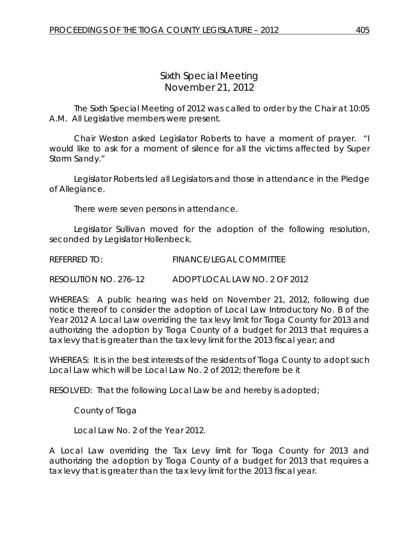# *Sixth Special Meeting* November 21, 2012

The Sixth Special Meeting of 2012 was called to order by the Chair at 10:05 A.M. All Legislative members were present.

Chair Weston asked Legislator Roberts to have a moment of prayer. "I would like to ask for a moment of silence for all the victims affected by Super Storm Sandy."

Legislator Roberts led all Legislators and those in attendance in the Pledge of Allegiance.

There were seven persons in attendance.

Legislator Sullivan moved for the adoption of the following resolution, seconded by Legislator Hollenbeck.

REFERRED TO: FINANCE/LEGAL COMMITTEE

RESOLUTION NO. 276–12 *ADOPT LOCAL LAW NO. 2 OF 2012*

WHEREAS: A public hearing was held on November 21, 2012, following due notice thereof to consider the adoption of Local Law Introductory No. B of the Year 2012 A Local Law overriding the tax levy limit for Tioga County for 2013 and authorizing the adoption by Tioga County of a budget for 2013 that requires a tax levy that is greater than the tax levy limit for the 2013 fiscal year; and

WHEREAS: It is in the best interests of the residents of Tioga County to adopt such Local Law which will be Local Law No. 2 of 2012; therefore be it

RESOLVED: That the following Local Law be and hereby is adopted;

County of Tioga

Local Law No. 2 of the Year 2012.

A Local Law overriding the Tax Levy limit for Tioga County for 2013 and authorizing the adoption by Tioga County of a budget for 2013 that requires a tax levy that is greater than the tax levy limit for the 2013 fiscal year.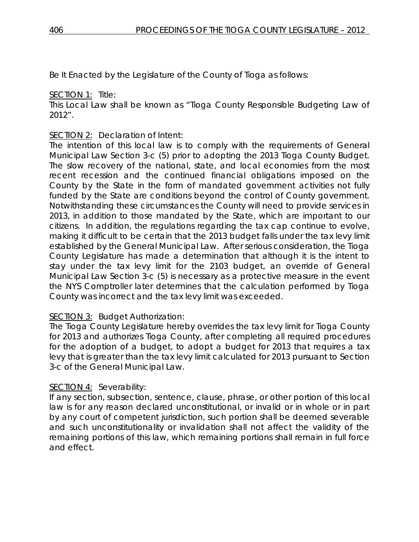Be It Enacted by the Legislature of the County of Tioga as follows:

### SECTION 1: Title:

This Local Law shall be known as "Tioga County Responsible Budgeting Law of 2012".

## SECTION 2: Declaration of Intent:

The intention of this local law is to comply with the requirements of General Municipal Law Section 3-c (5) prior to adopting the 2013 Tioga County Budget. The slow recovery of the national, state, and local economies from the most recent recession and the continued financial obligations imposed on the County by the State in the form of mandated government activities not fully funded by the State are conditions beyond the control of County government. Notwithstanding these circumstances the County will need to provide services in 2013, in addition to those mandated by the State, which are important to our citizens. In addition, the regulations regarding the tax cap continue to evolve, making it difficult to be certain that the 2013 budget falls under the tax levy limit established by the General Municipal Law. After serious consideration, the Tioga County Legislature has made a determination that although it is the intent to stay under the tax levy limit for the 2103 budget, an override of General Municipal Law Section 3-c (5) is necessary as a protective measure in the event the NYS Comptroller later determines that the calculation performed by Tioga County was incorrect and the tax levy limit was exceeded.

## SECTION 3: Budget Authorization:

The Tioga County Legislature hereby overrides the tax levy limit for Tioga County for 2013 and authorizes Tioga County, after completing all required procedures for the adoption of a budget, to adopt a budget for 2013 that requires a tax levy that is greater than the tax levy limit calculated for 2013 pursuant to Section 3-c of the General Municipal Law.

## SECTION 4: Severability:

If any section, subsection, sentence, clause, phrase, or other portion of this local law is for any reason declared unconstitutional, or invalid or in whole or in part by any court of competent jurisdiction, such portion shall be deemed severable and such unconstitutionality or invalidation shall not affect the validity of the remaining portions of this law, which remaining portions shall remain in full force and effect.